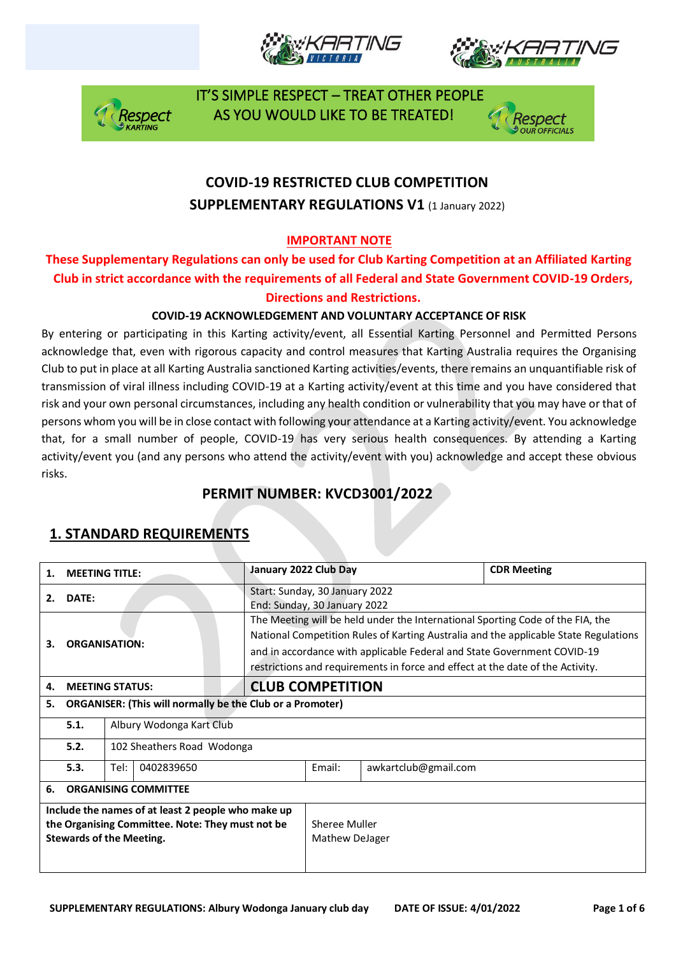





 IT'S SIMPLE RESPECT – TREAT OTHER PEOPLE Respect AS YOU WOULD LIKE TO BE TREATED!



## **COVID-19 RESTRICTED CLUB COMPETITION SUPPLEMENTARY REGULATIONS V1 (1 January 2022)**

### **IMPORTANT NOTE**

### **These Supplementary Regulations can only be used for Club Karting Competition at an Affiliated Karting Club in strict accordance with the requirements of all Federal and State Government COVID-19 Orders, Directions and Restrictions.**

#### **COVID-19 ACKNOWLEDGEMENT AND VOLUNTARY ACCEPTANCE OF RISK**

By entering or participating in this Karting activity/event, all Essential Karting Personnel and Permitted Persons acknowledge that, even with rigorous capacity and control measures that Karting Australia requires the Organising Club to put in place at all Karting Australia sanctioned Karting activities/events, there remains an unquantifiable risk of transmission of viral illness including COVID-19 at a Karting activity/event at this time and you have considered that risk and your own personal circumstances, including any health condition or vulnerability that you may have or that of persons whom you will be in close contact with following your attendance at a Karting activity/event. You acknowledge that, for a small number of people, COVID-19 has very serious health consequences. By attending a Karting activity/event you (and any persons who attend the activity/event with you) acknowledge and accept these obvious risks.

### **PERMIT NUMBER: KVCD3001/2022**

| 1.                                                                                                                                        | <b>MEETING TITLE:</b>              |                                                                                                                                                                                                                                                                                                                                     | January 2022 Club Day                                          |  |                      | <b>CDR Meeting</b> |  |
|-------------------------------------------------------------------------------------------------------------------------------------------|------------------------------------|-------------------------------------------------------------------------------------------------------------------------------------------------------------------------------------------------------------------------------------------------------------------------------------------------------------------------------------|----------------------------------------------------------------|--|----------------------|--------------------|--|
| DATE:<br>2.                                                                                                                               |                                    |                                                                                                                                                                                                                                                                                                                                     | Start: Sunday, 30 January 2022<br>End: Sunday, 30 January 2022 |  |                      |                    |  |
| <b>ORGANISATION:</b><br>з.                                                                                                                |                                    | The Meeting will be held under the International Sporting Code of the FIA, the<br>National Competition Rules of Karting Australia and the applicable State Regulations<br>and in accordance with applicable Federal and State Government COVID-19<br>restrictions and requirements in force and effect at the date of the Activity. |                                                                |  |                      |                    |  |
| 4.                                                                                                                                        |                                    | <b>MEETING STATUS:</b>                                                                                                                                                                                                                                                                                                              | <b>CLUB COMPETITION</b>                                        |  |                      |                    |  |
| 5.                                                                                                                                        |                                    | <b>ORGANISER: (This will normally be the Club or a Promoter)</b>                                                                                                                                                                                                                                                                    |                                                                |  |                      |                    |  |
|                                                                                                                                           | 5.1.<br>Albury Wodonga Kart Club   |                                                                                                                                                                                                                                                                                                                                     |                                                                |  |                      |                    |  |
|                                                                                                                                           | 5.2.<br>102 Sheathers Road Wodonga |                                                                                                                                                                                                                                                                                                                                     |                                                                |  |                      |                    |  |
|                                                                                                                                           | 5.3.                               | Tel:<br>0402839650                                                                                                                                                                                                                                                                                                                  |                                                                |  | awkartclub@gmail.com |                    |  |
| 6.                                                                                                                                        | <b>ORGANISING COMMITTEE</b>        |                                                                                                                                                                                                                                                                                                                                     |                                                                |  |                      |                    |  |
| Include the names of at least 2 people who make up<br>the Organising Committee. Note: They must not be<br><b>Stewards of the Meeting.</b> |                                    |                                                                                                                                                                                                                                                                                                                                     | Sheree Muller<br>Mathew DeJager                                |  |                      |                    |  |

### **1. STANDARD REQUIREMENTS**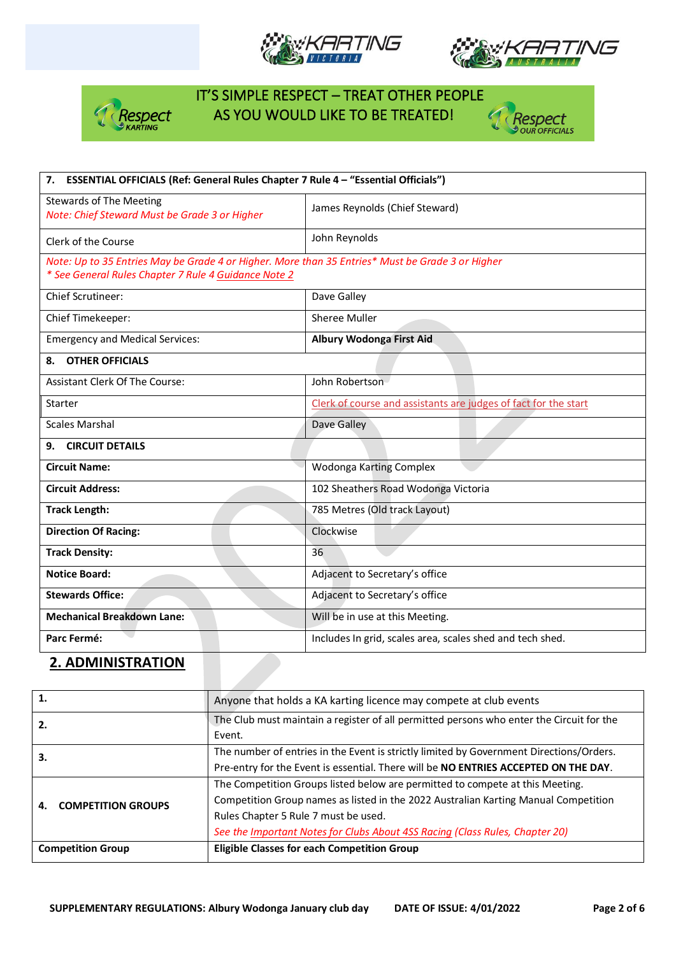





## IT'S SIMPLE RESPECT – TREAT OTHER PEOPLE Respect AS YOU WOULD LIKE TO BE TREATED!



| 7. ESSENTIAL OFFICIALS (Ref: General Rules Chapter 7 Rule 4 - "Essential Officials")                                                                     |                                                                 |  |  |  |
|----------------------------------------------------------------------------------------------------------------------------------------------------------|-----------------------------------------------------------------|--|--|--|
| <b>Stewards of The Meeting</b><br>Note: Chief Steward Must be Grade 3 or Higher                                                                          | James Reynolds (Chief Steward)                                  |  |  |  |
| Clerk of the Course                                                                                                                                      | John Reynolds                                                   |  |  |  |
| Note: Up to 35 Entries May be Grade 4 or Higher. More than 35 Entries* Must be Grade 3 or Higher<br>* See General Rules Chapter 7 Rule 4 Guidance Note 2 |                                                                 |  |  |  |
| <b>Chief Scrutineer:</b>                                                                                                                                 | Dave Galley                                                     |  |  |  |
| Chief Timekeeper:                                                                                                                                        | Sheree Muller                                                   |  |  |  |
| <b>Emergency and Medical Services:</b>                                                                                                                   | Albury Wodonga First Aid                                        |  |  |  |
| <b>OTHER OFFICIALS</b><br>8.                                                                                                                             |                                                                 |  |  |  |
| Assistant Clerk Of The Course:                                                                                                                           | John Robertson                                                  |  |  |  |
| <b>Starter</b>                                                                                                                                           | Clerk of course and assistants are judges of fact for the start |  |  |  |
| <b>Scales Marshal</b>                                                                                                                                    | Dave Galley                                                     |  |  |  |
| <b>CIRCUIT DETAILS</b><br>9.                                                                                                                             |                                                                 |  |  |  |
| <b>Circuit Name:</b>                                                                                                                                     | Wodonga Karting Complex                                         |  |  |  |
| <b>Circuit Address:</b>                                                                                                                                  | 102 Sheathers Road Wodonga Victoria                             |  |  |  |
| <b>Track Length:</b>                                                                                                                                     | 785 Metres (Old track Layout)                                   |  |  |  |
| <b>Direction Of Racing:</b>                                                                                                                              | Clockwise                                                       |  |  |  |
| <b>Track Density:</b>                                                                                                                                    | 36                                                              |  |  |  |
| <b>Notice Board:</b>                                                                                                                                     | Adjacent to Secretary's office                                  |  |  |  |
| <b>Stewards Office:</b>                                                                                                                                  | Adjacent to Secretary's office                                  |  |  |  |
| <b>Mechanical Breakdown Lane:</b>                                                                                                                        | Will be in use at this Meeting.                                 |  |  |  |
| Parc Fermé:                                                                                                                                              | Includes In grid, scales area, scales shed and tech shed.       |  |  |  |

#### **2. ADMINISTRATION**

| 1.                        | Anyone that holds a KA karting licence may compete at club events                                                                                                                                                                                                                            |
|---------------------------|----------------------------------------------------------------------------------------------------------------------------------------------------------------------------------------------------------------------------------------------------------------------------------------------|
| 2.                        | The Club must maintain a register of all permitted persons who enter the Circuit for the<br>Event.                                                                                                                                                                                           |
| 3.                        | The number of entries in the Event is strictly limited by Government Directions/Orders.<br>Pre-entry for the Event is essential. There will be NO ENTRIES ACCEPTED ON THE DAY.                                                                                                               |
| <b>COMPETITION GROUPS</b> | The Competition Groups listed below are permitted to compete at this Meeting.<br>Competition Group names as listed in the 2022 Australian Karting Manual Competition<br>Rules Chapter 5 Rule 7 must be used.<br>See the Important Notes for Clubs About 4SS Racing (Class Rules, Chapter 20) |
| <b>Competition Group</b>  | <b>Eligible Classes for each Competition Group</b>                                                                                                                                                                                                                                           |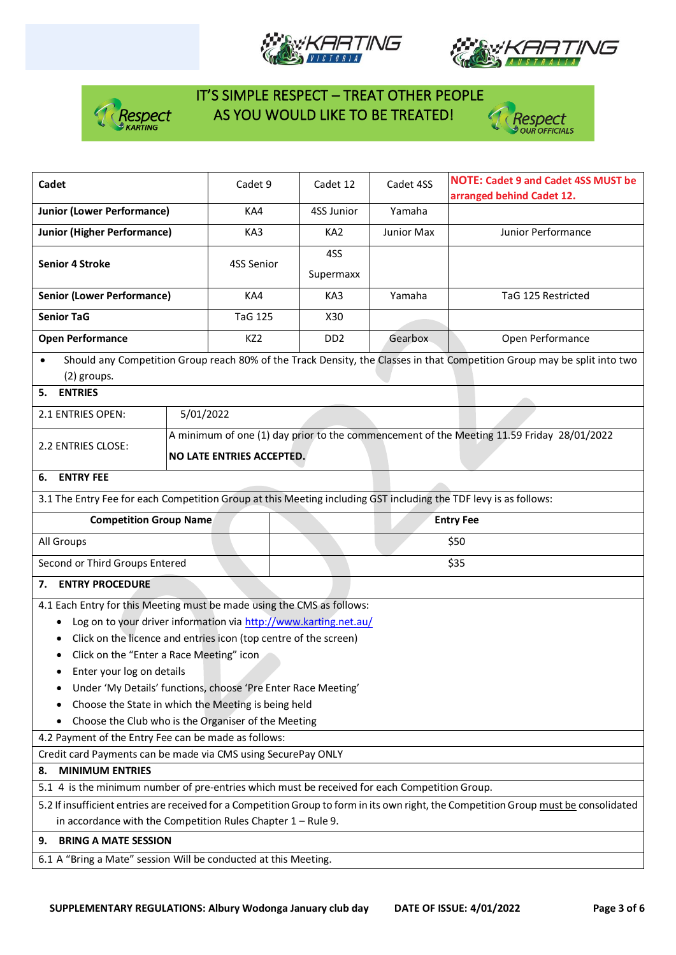





# IT'S SIMPLE RESPECT – TREAT OTHER PEOPLE **As SEP YOU WOULD LIKE TO BE TREATED!**



| Cadet                                                                                                                                 | Cadet 9   |                 | Cadet 12                         | Cadet 4SS       | <b>NOTE: Cadet 9 and Cadet 4SS MUST be</b><br>arranged behind Cadet 12. |                                                                                                                          |  |
|---------------------------------------------------------------------------------------------------------------------------------------|-----------|-----------------|----------------------------------|-----------------|-------------------------------------------------------------------------|--------------------------------------------------------------------------------------------------------------------------|--|
| <b>Junior (Lower Performance)</b>                                                                                                     | KA4       |                 | 4SS Junior                       | Yamaha          |                                                                         |                                                                                                                          |  |
| <b>Junior (Higher Performance)</b>                                                                                                    | KA3       |                 | KA <sub>2</sub>                  | Junior Max      | Junior Performance                                                      |                                                                                                                          |  |
|                                                                                                                                       |           |                 |                                  | 4SS             |                                                                         |                                                                                                                          |  |
| <b>Senior 4 Stroke</b>                                                                                                                |           | 4SS Senior      |                                  | Supermaxx       |                                                                         |                                                                                                                          |  |
| <b>Senior (Lower Performance)</b>                                                                                                     |           | KA4             |                                  | KA3             | Yamaha                                                                  | TaG 125 Restricted                                                                                                       |  |
| <b>Senior TaG</b>                                                                                                                     |           |                 | <b>TaG 125</b>                   |                 |                                                                         |                                                                                                                          |  |
| <b>Open Performance</b>                                                                                                               |           | KZ <sub>2</sub> |                                  | DD <sub>2</sub> | Gearbox                                                                 | Open Performance                                                                                                         |  |
| $\bullet$<br>(2) groups.                                                                                                              |           |                 |                                  |                 |                                                                         | Should any Competition Group reach 80% of the Track Density, the Classes in that Competition Group may be split into two |  |
| <b>ENTRIES</b><br>5.                                                                                                                  |           |                 |                                  |                 |                                                                         |                                                                                                                          |  |
| 2.1 ENTRIES OPEN:                                                                                                                     | 5/01/2022 |                 |                                  |                 |                                                                         |                                                                                                                          |  |
| 2.2 ENTRIES CLOSE:                                                                                                                    |           |                 |                                  |                 |                                                                         | A minimum of one (1) day prior to the commencement of the Meeting 11.59 Friday 28/01/2022                                |  |
|                                                                                                                                       |           |                 | <b>NO LATE ENTRIES ACCEPTED.</b> |                 |                                                                         |                                                                                                                          |  |
| <b>ENTRY FEE</b><br>6.                                                                                                                |           |                 |                                  |                 |                                                                         |                                                                                                                          |  |
| 3.1 The Entry Fee for each Competition Group at this Meeting including GST including the TDF levy is as follows:                      |           |                 |                                  |                 |                                                                         |                                                                                                                          |  |
| <b>Competition Group Name</b>                                                                                                         |           |                 | <b>Entry Fee</b>                 |                 |                                                                         |                                                                                                                          |  |
| All Groups                                                                                                                            |           |                 |                                  |                 |                                                                         | \$50                                                                                                                     |  |
| Second or Third Groups Entered                                                                                                        |           |                 |                                  |                 |                                                                         | \$35                                                                                                                     |  |
| <b>ENTRY PROCEDURE</b><br>7.                                                                                                          |           |                 |                                  |                 |                                                                         |                                                                                                                          |  |
| 4.1 Each Entry for this Meeting must be made using the CMS as follows:                                                                |           |                 |                                  |                 |                                                                         |                                                                                                                          |  |
| Log on to your driver information via http://www.karting.net.au/                                                                      |           |                 |                                  |                 |                                                                         |                                                                                                                          |  |
| Click on the licence and entries icon (top centre of the screen)                                                                      |           |                 |                                  |                 |                                                                         |                                                                                                                          |  |
| Click on the "Enter a Race Meeting" icon                                                                                              |           |                 |                                  |                 |                                                                         |                                                                                                                          |  |
| Enter your log on details<br>٠                                                                                                        |           |                 |                                  |                 |                                                                         |                                                                                                                          |  |
| Under 'My Details' functions, choose 'Pre Enter Race Meeting'                                                                         |           |                 |                                  |                 |                                                                         |                                                                                                                          |  |
| Choose the State in which the Meeting is being held                                                                                   |           |                 |                                  |                 |                                                                         |                                                                                                                          |  |
| Choose the Club who is the Organiser of the Meeting                                                                                   |           |                 |                                  |                 |                                                                         |                                                                                                                          |  |
| 4.2 Payment of the Entry Fee can be made as follows:                                                                                  |           |                 |                                  |                 |                                                                         |                                                                                                                          |  |
| Credit card Payments can be made via CMS using SecurePay ONLY                                                                         |           |                 |                                  |                 |                                                                         |                                                                                                                          |  |
| <b>MINIMUM ENTRIES</b><br>8.                                                                                                          |           |                 |                                  |                 |                                                                         |                                                                                                                          |  |
| 5.1 4 is the minimum number of pre-entries which must be received for each Competition Group.                                         |           |                 |                                  |                 |                                                                         |                                                                                                                          |  |
| 5.2 If insufficient entries are received for a Competition Group to form in its own right, the Competition Group must be consolidated |           |                 |                                  |                 |                                                                         |                                                                                                                          |  |
| in accordance with the Competition Rules Chapter $1 -$ Rule 9.                                                                        |           |                 |                                  |                 |                                                                         |                                                                                                                          |  |
| <b>BRING A MATE SESSION</b><br>9.                                                                                                     |           |                 |                                  |                 |                                                                         |                                                                                                                          |  |
| 6.1 A "Bring a Mate" session Will be conducted at this Meeting.                                                                       |           |                 |                                  |                 |                                                                         |                                                                                                                          |  |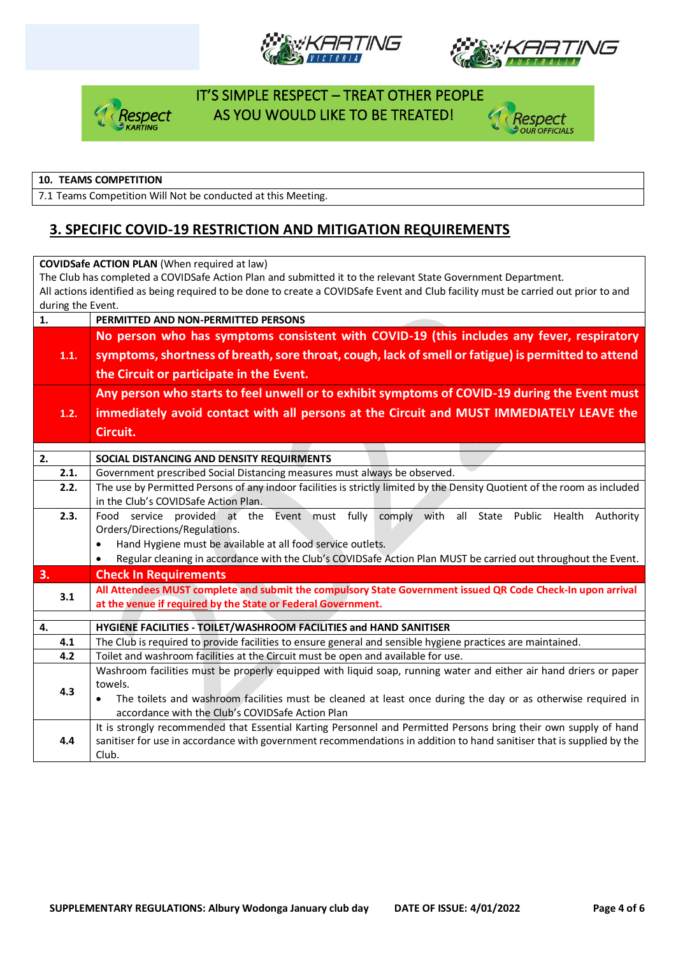





## IT'S SIMPLE RESPECT – TREAT OTHER PEOPLE espect AS YOU WOULD LIKE TO BE TREATED!



#### **10. TEAMS COMPETITION**

7.1 Teams Competition Will Not be conducted at this Meeting.

### **3. SPECIFIC COVID-19 RESTRICTION AND MITIGATION REQUIREMENTS**

| <b>COVIDSafe ACTION PLAN (When required at law)</b>                                                                                |                                                                                                                                                                                                                    |  |  |  |  |  |  |  |
|------------------------------------------------------------------------------------------------------------------------------------|--------------------------------------------------------------------------------------------------------------------------------------------------------------------------------------------------------------------|--|--|--|--|--|--|--|
| The Club has completed a COVIDSafe Action Plan and submitted it to the relevant State Government Department.                       |                                                                                                                                                                                                                    |  |  |  |  |  |  |  |
| All actions identified as being required to be done to create a COVIDSafe Event and Club facility must be carried out prior to and |                                                                                                                                                                                                                    |  |  |  |  |  |  |  |
| during the Event.                                                                                                                  |                                                                                                                                                                                                                    |  |  |  |  |  |  |  |
| 1.                                                                                                                                 | PERMITTED AND NON-PERMITTED PERSONS                                                                                                                                                                                |  |  |  |  |  |  |  |
|                                                                                                                                    | No person who has symptoms consistent with COVID-19 (this includes any fever, respiratory                                                                                                                          |  |  |  |  |  |  |  |
| 1.1.                                                                                                                               | symptoms, shortness of breath, sore throat, cough, lack of smell or fatigue) is permitted to attend                                                                                                                |  |  |  |  |  |  |  |
|                                                                                                                                    | the Circuit or participate in the Event.                                                                                                                                                                           |  |  |  |  |  |  |  |
|                                                                                                                                    | Any person who starts to feel unwell or to exhibit symptoms of COVID-19 during the Event must                                                                                                                      |  |  |  |  |  |  |  |
| 1.2.                                                                                                                               | immediately avoid contact with all persons at the Circuit and MUST IMMEDIATELY LEAVE the                                                                                                                           |  |  |  |  |  |  |  |
|                                                                                                                                    | Circuit.                                                                                                                                                                                                           |  |  |  |  |  |  |  |
|                                                                                                                                    |                                                                                                                                                                                                                    |  |  |  |  |  |  |  |
| 2.                                                                                                                                 | SOCIAL DISTANCING AND DENSITY REQUIRMENTS                                                                                                                                                                          |  |  |  |  |  |  |  |
| 2.1.                                                                                                                               | Government prescribed Social Distancing measures must always be observed.                                                                                                                                          |  |  |  |  |  |  |  |
| 2.2.                                                                                                                               | The use by Permitted Persons of any indoor facilities is strictly limited by the Density Quotient of the room as included                                                                                          |  |  |  |  |  |  |  |
|                                                                                                                                    | in the Club's COVIDSafe Action Plan.                                                                                                                                                                               |  |  |  |  |  |  |  |
| 2.3.                                                                                                                               | Food service provided at the Event must fully comply with<br>all<br>State Public Health<br>Authority<br>Orders/Directions/Regulations.<br>Hand Hygiene must be available at all food service outlets.<br>$\bullet$ |  |  |  |  |  |  |  |
|                                                                                                                                    |                                                                                                                                                                                                                    |  |  |  |  |  |  |  |
|                                                                                                                                    |                                                                                                                                                                                                                    |  |  |  |  |  |  |  |
|                                                                                                                                    | Regular cleaning in accordance with the Club's COVIDSafe Action Plan MUST be carried out throughout the Event.<br>$\bullet$                                                                                        |  |  |  |  |  |  |  |
| 3.                                                                                                                                 | <b>Check In Requirements</b>                                                                                                                                                                                       |  |  |  |  |  |  |  |
| 3.1                                                                                                                                | All Attendees MUST complete and submit the compulsory State Government issued QR Code Check-In upon arrival                                                                                                        |  |  |  |  |  |  |  |
|                                                                                                                                    | at the venue if required by the State or Federal Government.                                                                                                                                                       |  |  |  |  |  |  |  |
| 4.                                                                                                                                 | HYGIENE FACILITIES - TOILET/WASHROOM FACILITIES and HAND SANITISER                                                                                                                                                 |  |  |  |  |  |  |  |
| 4.1                                                                                                                                | The Club is required to provide facilities to ensure general and sensible hygiene practices are maintained.                                                                                                        |  |  |  |  |  |  |  |
| 4.2                                                                                                                                | Toilet and washroom facilities at the Circuit must be open and available for use.                                                                                                                                  |  |  |  |  |  |  |  |
|                                                                                                                                    | Washroom facilities must be properly equipped with liquid soap, running water and either air hand driers or paper                                                                                                  |  |  |  |  |  |  |  |
|                                                                                                                                    | towels.                                                                                                                                                                                                            |  |  |  |  |  |  |  |
| 4.3                                                                                                                                | The toilets and washroom facilities must be cleaned at least once during the day or as otherwise required in                                                                                                       |  |  |  |  |  |  |  |
|                                                                                                                                    | accordance with the Club's COVIDSafe Action Plan                                                                                                                                                                   |  |  |  |  |  |  |  |
|                                                                                                                                    | It is strongly recommended that Essential Karting Personnel and Permitted Persons bring their own supply of hand                                                                                                   |  |  |  |  |  |  |  |
| 4.4                                                                                                                                | sanitiser for use in accordance with government recommendations in addition to hand sanitiser that is supplied by the                                                                                              |  |  |  |  |  |  |  |
|                                                                                                                                    | Club.                                                                                                                                                                                                              |  |  |  |  |  |  |  |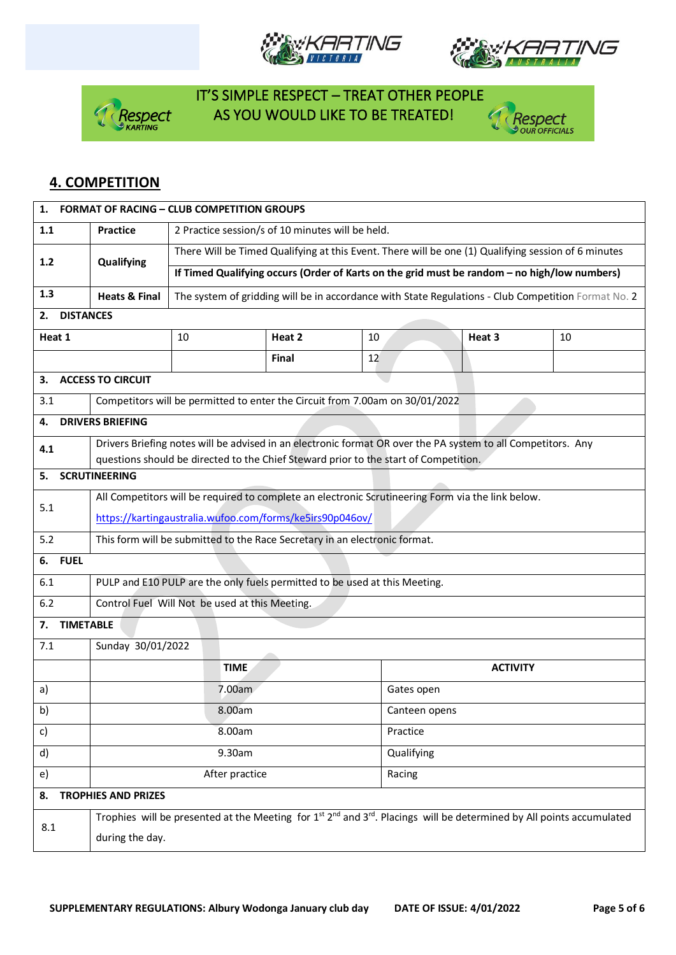





# IT'S SIMPLE RESPECT – TREAT OTHER PEOPLE **Respect** AS YOU WOULD LIKE TO BE TREATED!



### **4. COMPETITION**

| <b>FORMAT OF RACING - CLUB COMPETITION GROUPS</b><br>1. |                                                                                                                                                               |                                                                                                     |              |    |                                                                                                              |    |  |  |  |
|---------------------------------------------------------|---------------------------------------------------------------------------------------------------------------------------------------------------------------|-----------------------------------------------------------------------------------------------------|--------------|----|--------------------------------------------------------------------------------------------------------------|----|--|--|--|
| 1.1                                                     | <b>Practice</b>                                                                                                                                               | 2 Practice session/s of 10 minutes will be held.                                                    |              |    |                                                                                                              |    |  |  |  |
| 1.2                                                     | Qualifying                                                                                                                                                    | There Will be Timed Qualifying at this Event. There will be one (1) Qualifying session of 6 minutes |              |    |                                                                                                              |    |  |  |  |
|                                                         |                                                                                                                                                               |                                                                                                     |              |    | If Timed Qualifying occurs (Order of Karts on the grid must be random - no high/low numbers)                 |    |  |  |  |
| 1.3                                                     | The system of gridding will be in accordance with State Regulations - Club Competition Format No. 2<br><b>Heats &amp; Final</b>                               |                                                                                                     |              |    |                                                                                                              |    |  |  |  |
| <b>DISTANCES</b><br>2.                                  |                                                                                                                                                               |                                                                                                     |              |    |                                                                                                              |    |  |  |  |
| Heat 1                                                  |                                                                                                                                                               | 10                                                                                                  | Heat 2       | 10 | Heat 3                                                                                                       | 10 |  |  |  |
|                                                         |                                                                                                                                                               |                                                                                                     | <b>Final</b> | 12 |                                                                                                              |    |  |  |  |
| 3.                                                      | <b>ACCESS TO CIRCUIT</b>                                                                                                                                      |                                                                                                     |              |    |                                                                                                              |    |  |  |  |
| 3.1                                                     |                                                                                                                                                               | Competitors will be permitted to enter the Circuit from 7.00am on 30/01/2022                        |              |    |                                                                                                              |    |  |  |  |
| 4.                                                      | <b>DRIVERS BRIEFING</b>                                                                                                                                       |                                                                                                     |              |    |                                                                                                              |    |  |  |  |
| 4.1                                                     |                                                                                                                                                               |                                                                                                     |              |    | Drivers Briefing notes will be advised in an electronic format OR over the PA system to all Competitors. Any |    |  |  |  |
| 5.                                                      | <b>SCRUTINEERING</b>                                                                                                                                          | questions should be directed to the Chief Steward prior to the start of Competition.                |              |    |                                                                                                              |    |  |  |  |
|                                                         |                                                                                                                                                               |                                                                                                     |              |    |                                                                                                              |    |  |  |  |
| 5.1                                                     | All Competitors will be required to complete an electronic Scrutineering Form via the link below.<br>https://kartingaustralia.wufoo.com/forms/ke5irs90p046ov/ |                                                                                                     |              |    |                                                                                                              |    |  |  |  |
| 5.2                                                     |                                                                                                                                                               |                                                                                                     |              |    |                                                                                                              |    |  |  |  |
|                                                         | This form will be submitted to the Race Secretary in an electronic format.                                                                                    |                                                                                                     |              |    |                                                                                                              |    |  |  |  |
| 6.1                                                     | <b>FUEL</b><br>6.                                                                                                                                             |                                                                                                     |              |    |                                                                                                              |    |  |  |  |
|                                                         | PULP and E10 PULP are the only fuels permitted to be used at this Meeting.                                                                                    |                                                                                                     |              |    |                                                                                                              |    |  |  |  |
|                                                         | Control Fuel Will Not be used at this Meeting.<br>6.2                                                                                                         |                                                                                                     |              |    |                                                                                                              |    |  |  |  |
| <b>TIMETABLE</b><br>7.                                  |                                                                                                                                                               |                                                                                                     |              |    |                                                                                                              |    |  |  |  |
| 7.1                                                     | Sunday 30/01/2022                                                                                                                                             |                                                                                                     |              |    |                                                                                                              |    |  |  |  |
|                                                         |                                                                                                                                                               | <b>TIME</b>                                                                                         |              |    | <b>ACTIVITY</b>                                                                                              |    |  |  |  |
| a)                                                      | 7.00am                                                                                                                                                        |                                                                                                     |              |    | Gates open                                                                                                   |    |  |  |  |
| b)                                                      | 8.00am                                                                                                                                                        |                                                                                                     |              |    | Canteen opens<br>Practice                                                                                    |    |  |  |  |
| c)                                                      | 8.00am                                                                                                                                                        |                                                                                                     |              |    |                                                                                                              |    |  |  |  |
| d)                                                      | 9.30am                                                                                                                                                        |                                                                                                     |              |    | Qualifying                                                                                                   |    |  |  |  |
| After practice<br>Racing<br>e)                          |                                                                                                                                                               |                                                                                                     |              |    |                                                                                                              |    |  |  |  |
| <b>TROPHIES AND PRIZES</b><br>8.                        |                                                                                                                                                               |                                                                                                     |              |    |                                                                                                              |    |  |  |  |
| 8.1                                                     | Trophies will be presented at the Meeting for $1^{st} 2^{nd}$ and $3^{rd}$ . Placings will be determined by All points accumulated                            |                                                                                                     |              |    |                                                                                                              |    |  |  |  |
|                                                         | during the day.                                                                                                                                               |                                                                                                     |              |    |                                                                                                              |    |  |  |  |